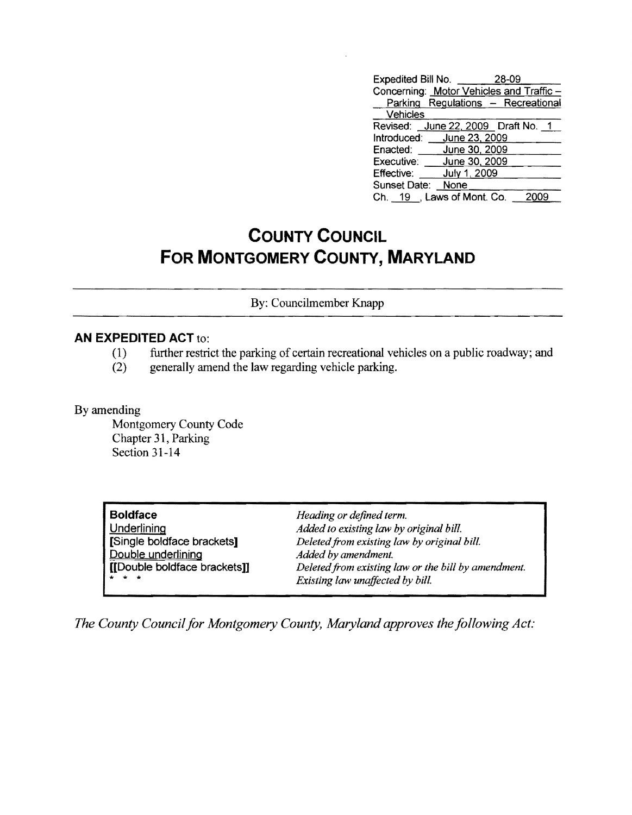| Expedited Bill No.                 |               | 28-09                                   |
|------------------------------------|---------------|-----------------------------------------|
|                                    |               | Concerning: Motor Vehicles and Traffic- |
|                                    |               | Parking Regulations - Recreational      |
| Vehicles                           |               |                                         |
| Revised: June 22, 2009 Draft No. 1 |               |                                         |
| Introduced: June 23, 2009          |               |                                         |
| Enacted:                           | June 30, 2009 |                                         |
| Executive: June 30, 2009           |               |                                         |
| Effective:                         | July 1, 2009  |                                         |
| Sunset Date: None                  |               |                                         |
| Ch. 19 , Laws of Mont. Co.         |               |                                         |

## **COUNTY COUNCIL FOR MONTGOMERY COUNTY, MARYLAND**

By: Councilmember Knapp

## **AN EXPEDITED ACT** to:

- (1) further restrict the parking of certain recreational vehicles on a public roadway; and generally amend the law regarding vehicle parking.
- generally amend the law regarding vehicle parking.

By amending

Montgomery County Code Chapter 31, Parking Section 31-14

| <b>Boldface</b>             | Heading or defined term.                            |
|-----------------------------|-----------------------------------------------------|
| <b>Underlining</b>          | Added to existing law by original bill.             |
| Single boldface brackets]   | Deleted from existing law by original bill.         |
| Double underlining          | Added by amendment.                                 |
| [Double boldface brackets]] | Deleted from existing law or the bill by amendment. |
| $-4$ $+$ $+$                | Existing law unaffected by bill.                    |

*The County Council for Montgomery County, Maryland approves the following Act:*